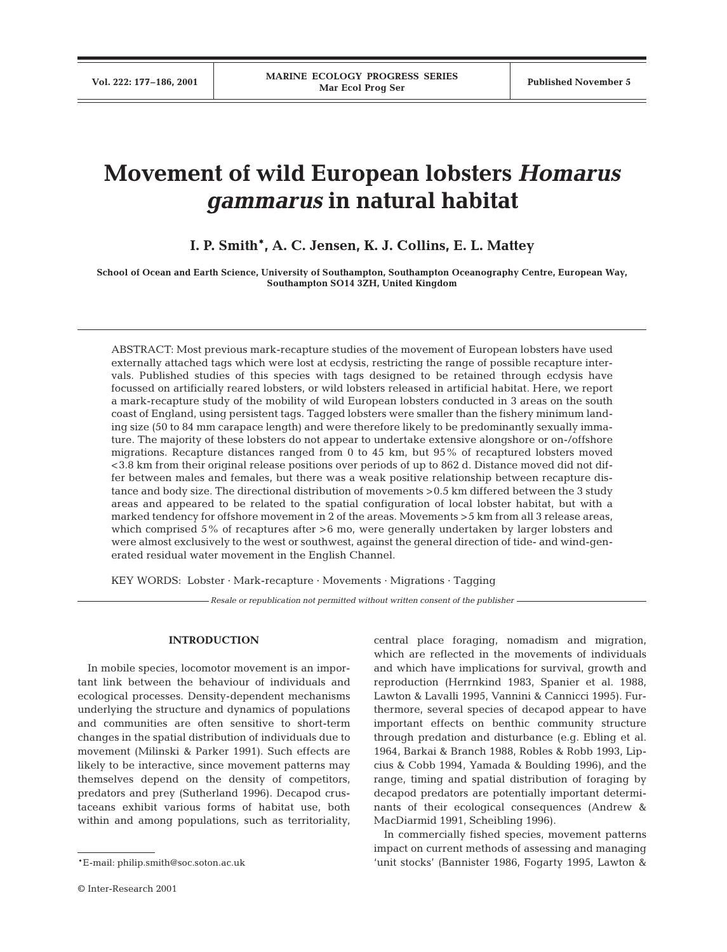# **Movement of wild European lobsters** *Homarus gammarus* **in natural habitat**

# **I. P. Smith\*, A. C. Jensen, K. J. Collins, E. L. Mattey**

**School of Ocean and Earth Science, University of Southampton, Southampton Oceanography Centre, European Way, Southampton SO14 3ZH, United Kingdom**

ABSTRACT: Most previous mark-recapture studies of the movement of European lobsters have used externally attached tags which were lost at ecdysis, restricting the range of possible recapture intervals. Published studies of this species with tags designed to be retained through ecdysis have focussed on artificially reared lobsters, or wild lobsters released in artificial habitat. Here, we report a mark-recapture study of the mobility of wild European lobsters conducted in 3 areas on the south coast of England, using persistent tags. Tagged lobsters were smaller than the fishery minimum landing size (50 to 84 mm carapace length) and were therefore likely to be predominantly sexually immature. The majority of these lobsters do not appear to undertake extensive alongshore or on-/offshore migrations. Recapture distances ranged from 0 to 45 km, but 95% of recaptured lobsters moved <3.8 km from their original release positions over periods of up to 862 d. Distance moved did not differ between males and females, but there was a weak positive relationship between recapture distance and body size. The directional distribution of movements >0.5 km differed between the 3 study areas and appeared to be related to the spatial configuration of local lobster habitat, but with a marked tendency for offshore movement in 2 of the areas. Movements >5 km from all 3 release areas, which comprised 5% of recaptures after >6 mo, were generally undertaken by larger lobsters and were almost exclusively to the west or southwest, against the general direction of tide- and wind-generated residual water movement in the English Channel.

KEY WORDS: Lobster · Mark-recapture · Movements · Migrations · Tagging

*Resale or republication not permitted without written consent of the publisher*

# **INTRODUCTION**

In mobile species, locomotor movement is an important link between the behaviour of individuals and ecological processes. Density-dependent mechanisms underlying the structure and dynamics of populations and communities are often sensitive to short-term changes in the spatial distribution of individuals due to movement (Milinski & Parker 1991). Such effects are likely to be interactive, since movement patterns may themselves depend on the density of competitors, predators and prey (Sutherland 1996). Decapod crustaceans exhibit various forms of habitat use, both within and among populations, such as territoriality, central place foraging, nomadism and migration, which are reflected in the movements of individuals and which have implications for survival, growth and reproduction (Herrnkind 1983, Spanier et al. 1988, Lawton & Lavalli 1995, Vannini & Cannicci 1995). Furthermore, several species of decapod appear to have important effects on benthic community structure through predation and disturbance (e.g. Ebling et al. 1964, Barkai & Branch 1988, Robles & Robb 1993, Lipcius & Cobb 1994, Yamada & Boulding 1996), and the range, timing and spatial distribution of foraging by decapod predators are potentially important determinants of their ecological consequences (Andrew & MacDiarmid 1991, Scheibling 1996).

In commercially fished species, movement patterns impact on current methods of assessing and managing 'unit stocks' (Bannister 1986, Fogarty 1995, Lawton &

<sup>\*</sup>E-mail: philip.smith@soc.soton.ac.uk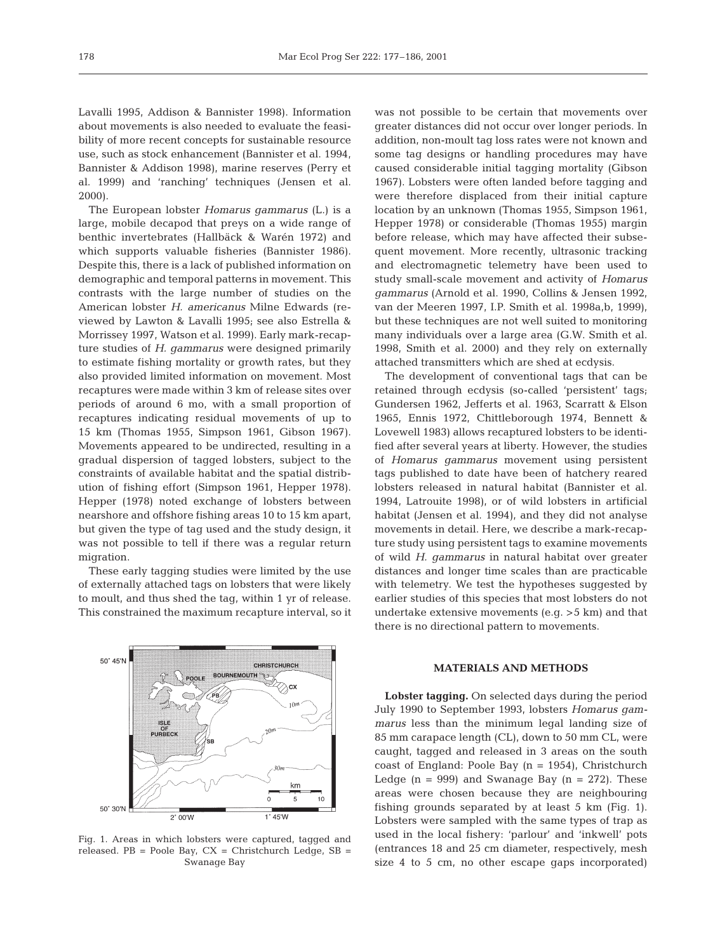Lavalli 1995, Addison & Bannister 1998). Information about movements is also needed to evaluate the feasibility of more recent concepts for sustainable resource use, such as stock enhancement (Bannister et al. 1994, Bannister & Addison 1998), marine reserves (Perry et al. 1999) and 'ranching' techniques (Jensen et al. 2000).

The European lobster *Homarus gammarus* (L.) is a large, mobile decapod that preys on a wide range of benthic invertebrates (Hallbäck & Warén 1972) and which supports valuable fisheries (Bannister 1986). Despite this, there is a lack of published information on demographic and temporal patterns in movement. This contrasts with the large number of studies on the American lobster *H. americanus* Milne Edwards (reviewed by Lawton & Lavalli 1995; see also Estrella & Morrissey 1997, Watson et al. 1999). Early mark-recapture studies of *H. gammarus* were designed primarily to estimate fishing mortality or growth rates, but they also provided limited information on movement. Most recaptures were made within 3 km of release sites over periods of around 6 mo, with a small proportion of recaptures indicating residual movements of up to 15 km (Thomas 1955, Simpson 1961, Gibson 1967). Movements appeared to be undirected, resulting in a gradual dispersion of tagged lobsters, subject to the constraints of available habitat and the spatial distribution of fishing effort (Simpson 1961, Hepper 1978). Hepper (1978) noted exchange of lobsters between nearshore and offshore fishing areas 10 to 15 km apart, but given the type of tag used and the study design, it was not possible to tell if there was a regular return migration.

These early tagging studies were limited by the use of externally attached tags on lobsters that were likely to moult, and thus shed the tag, within 1 yr of release. This constrained the maximum recapture interval, so it



Fig. 1. Areas in which lobsters were captured, tagged and released.  $PB = Poole Bay$ ,  $CX = Christophered. SB =$ Swanage Bay

was not possible to be certain that movements over greater distances did not occur over longer periods. In addition, non-moult tag loss rates were not known and some tag designs or handling procedures may have caused considerable initial tagging mortality (Gibson 1967). Lobsters were often landed before tagging and were therefore displaced from their initial capture location by an unknown (Thomas 1955, Simpson 1961, Hepper 1978) or considerable (Thomas 1955) margin before release, which may have affected their subsequent movement. More recently, ultrasonic tracking and electromagnetic telemetry have been used to study small-scale movement and activity of *Homarus gammarus* (Arnold et al. 1990, Collins & Jensen 1992, van der Meeren 1997, I.P. Smith et al. 1998a,b, 1999), but these techniques are not well suited to monitoring many individuals over a large area (G.W. Smith et al. 1998, Smith et al. 2000) and they rely on externally attached transmitters which are shed at ecdysis.

The development of conventional tags that can be retained through ecdysis (so-called 'persistent' tags; Gundersen 1962, Jefferts et al. 1963, Scarratt & Elson 1965, Ennis 1972, Chittleborough 1974, Bennett & Lovewell 1983) allows recaptured lobsters to be identified after several years at liberty. However, the studies of *Homarus gammarus* movement using persistent tags published to date have been of hatchery reared lobsters released in natural habitat (Bannister et al. 1994, Latrouite 1998), or of wild lobsters in artificial habitat (Jensen et al. 1994), and they did not analyse movements in detail. Here, we describe a mark-recapture study using persistent tags to examine movements of wild *H. gammarus* in natural habitat over greater distances and longer time scales than are practicable with telemetry. We test the hypotheses suggested by earlier studies of this species that most lobsters do not undertake extensive movements (e.g. >5 km) and that there is no directional pattern to movements.

#### **MATERIALS AND METHODS**

**Lobster tagging.** On selected days during the period July 1990 to September 1993, lobsters *Homarus gammarus* less than the minimum legal landing size of 85 mm carapace length (CL), down to 50 mm CL, were caught, tagged and released in 3 areas on the south coast of England: Poole Bay  $(n = 1954)$ , Christchurch Ledge  $(n = 999)$  and Swanage Bay  $(n = 272)$ . These areas were chosen because they are neighbouring fishing grounds separated by at least 5 km (Fig. 1). Lobsters were sampled with the same types of trap as used in the local fishery: 'parlour' and 'inkwell' pots (entrances 18 and 25 cm diameter, respectively, mesh size 4 to 5 cm, no other escape gaps incorporated)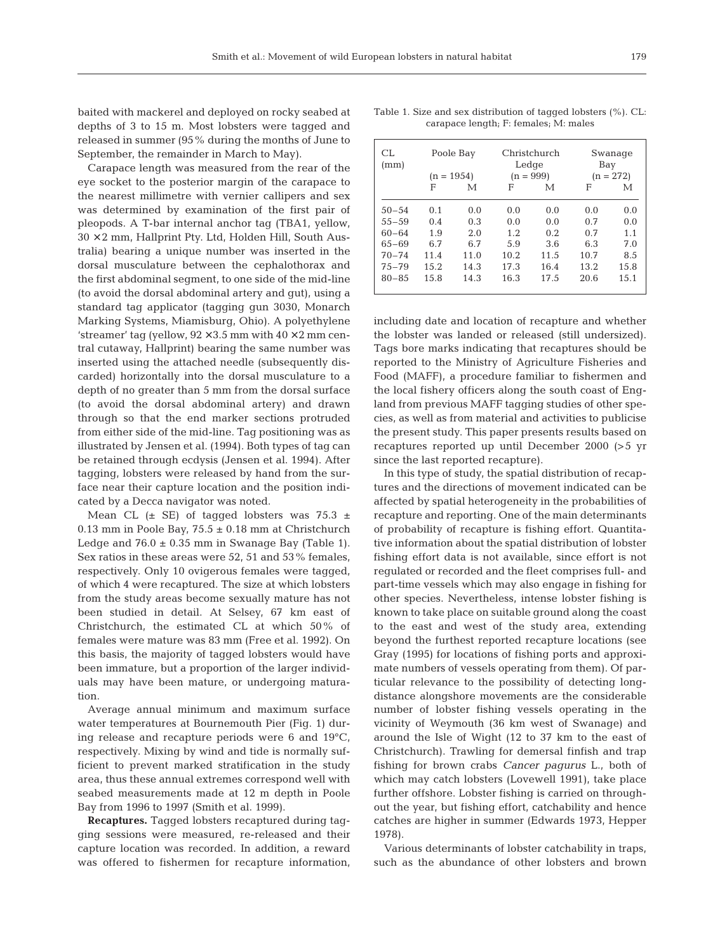baited with mackerel and deployed on rocky seabed at depths of 3 to 15 m. Most lobsters were tagged and released in summer (95% during the months of June to September, the remainder in March to May).

Carapace length was measured from the rear of the eye socket to the posterior margin of the carapace to the nearest millimetre with vernier callipers and sex was determined by examination of the first pair of pleopods. A T-bar internal anchor tag (TBA1, yellow,  $30 \times 2$  mm, Hallprint Pty. Ltd, Holden Hill, South Australia) bearing a unique number was inserted in the dorsal musculature between the cephalothorax and the first abdominal segment, to one side of the mid-line (to avoid the dorsal abdominal artery and gut), using a standard tag applicator (tagging gun 3030, Monarch Marking Systems, Miamisburg, Ohio). A polyethylene 'streamer' tag (yellow,  $92 \times 3.5$  mm with  $40 \times 2$  mm central cutaway, Hallprint) bearing the same number was inserted using the attached needle (subsequently discarded) horizontally into the dorsal musculature to a depth of no greater than 5 mm from the dorsal surface (to avoid the dorsal abdominal artery) and drawn through so that the end marker sections protruded from either side of the mid-line. Tag positioning was as illustrated by Jensen et al. (1994). Both types of tag can be retained through ecdysis (Jensen et al. 1994). After tagging, lobsters were released by hand from the surface near their capture location and the position indicated by a Decca navigator was noted.

Mean CL  $(\pm$  SE) of tagged lobsters was 75.3  $\pm$ 0.13 mm in Poole Bay,  $75.5 \pm 0.18$  mm at Christchurch Ledge and  $76.0 \pm 0.35$  mm in Swanage Bay (Table 1). Sex ratios in these areas were 52, 51 and 53% females, respectively. Only 10 ovigerous females were tagged, of which 4 were recaptured. The size at which lobsters from the study areas become sexually mature has not been studied in detail. At Selsey, 67 km east of Christchurch, the estimated CL at which 50% of females were mature was 83 mm (Free et al. 1992). On this basis, the majority of tagged lobsters would have been immature, but a proportion of the larger individuals may have been mature, or undergoing maturation.

Average annual minimum and maximum surface water temperatures at Bournemouth Pier (Fig. 1) during release and recapture periods were 6 and 19°C, respectively. Mixing by wind and tide is normally sufficient to prevent marked stratification in the study area, thus these annual extremes correspond well with seabed measurements made at 12 m depth in Poole Bay from 1996 to 1997 (Smith et al. 1999).

**Recaptures.** Tagged lobsters recaptured during tagging sessions were measured, re-released and their capture location was recorded. In addition, a reward was offered to fishermen for recapture information,

Table 1. Size and sex distribution of tagged lobsters (%). CL: carapace length; F: females; M: males

| CL.<br>(mm) | Poole Bay<br>$(n = 1954)$ |      | Christchurch<br>Ledge<br>$(n = 999)$ |      | Swanage<br>Bay<br>$(n = 272)$ |      |
|-------------|---------------------------|------|--------------------------------------|------|-------------------------------|------|
|             | F                         | М    | F                                    | М    | F                             | М    |
| $50 - 54$   | 0.1                       | 0.0  | 0.0                                  | 0.0  | 0.0                           | 0.0  |
| $55 - 59$   | 0.4                       | 0.3  | 0.0                                  | 0.0  | 0.7                           | 0.0  |
| $60 - 64$   | 1.9                       | 2.0  | 1.2                                  | 0.2. | 0.7                           | 1.1  |
| $65 - 69$   | 6.7                       | 6.7  | 5.9                                  | 3.6  | 6.3                           | 7.0  |
| $70 - 74$   | 11.4                      | 11.0 | 10.2                                 | 11.5 | 10.7                          | 8.5  |
| $75 - 79$   | 15.2                      | 14.3 | 17.3                                 | 16.4 | 13.2                          | 15.8 |
| $80 - 85$   | 15.8                      | 14.3 | 16.3                                 | 17.5 | 20.6                          | 15.1 |

including date and location of recapture and whether the lobster was landed or released (still undersized). Tags bore marks indicating that recaptures should be reported to the Ministry of Agriculture Fisheries and Food (MAFF), a procedure familiar to fishermen and the local fishery officers along the south coast of England from previous MAFF tagging studies of other species, as well as from material and activities to publicise the present study. This paper presents results based on recaptures reported up until December 2000 (>5 yr since the last reported recapture).

In this type of study, the spatial distribution of recaptures and the directions of movement indicated can be affected by spatial heterogeneity in the probabilities of recapture and reporting. One of the main determinants of probability of recapture is fishing effort. Quantitative information about the spatial distribution of lobster fishing effort data is not available, since effort is not regulated or recorded and the fleet comprises full- and part-time vessels which may also engage in fishing for other species. Nevertheless, intense lobster fishing is known to take place on suitable ground along the coast to the east and west of the study area, extending beyond the furthest reported recapture locations (see Gray (1995) for locations of fishing ports and approximate numbers of vessels operating from them). Of particular relevance to the possibility of detecting longdistance alongshore movements are the considerable number of lobster fishing vessels operating in the vicinity of Weymouth (36 km west of Swanage) and around the Isle of Wight (12 to 37 km to the east of Christchurch). Trawling for demersal finfish and trap fishing for brown crabs *Cancer pagurus* L., both of which may catch lobsters (Lovewell 1991), take place further offshore. Lobster fishing is carried on throughout the year, but fishing effort, catchability and hence catches are higher in summer (Edwards 1973, Hepper 1978).

Various determinants of lobster catchability in traps, such as the abundance of other lobsters and brown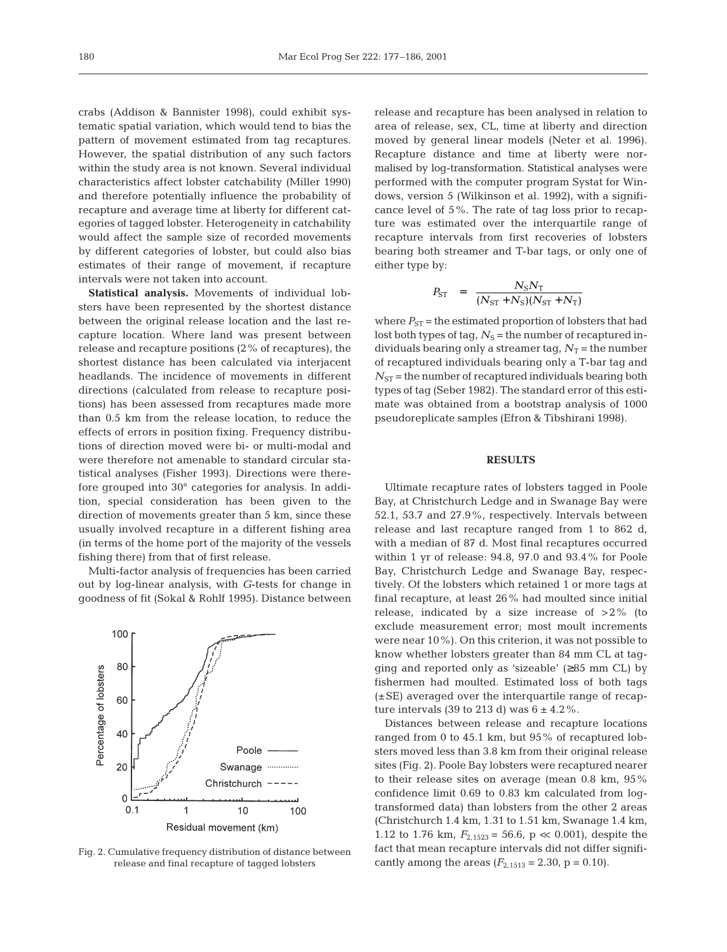crabs (Addison & Bannister 1998), could exhibit systematic spatial variation, which would tend to bias the pattern of movement estimated from tag recaptures. However, the spatial distribution of any such factors within the study area is not known. Several individual characteristics affect lobster catchability (Miller 1990) and therefore potentially influence the probability of recapture and average time at liberty for different categories of tagged lobster. Heterogeneity in catchability would affect the sample size of recorded movements by different categories of lobster, but could also bias estimates of their range of movement, if recapture intervals were not taken into account.

**Statistical analysis.** Movements of individual lobsters have been represented by the shortest distance between the original release location and the last recapture location. Where land was present between release and recapture positions (2% of recaptures), the shortest distance has been calculated via interjacent headlands. The incidence of movements in different directions (calculated from release to recapture positions) has been assessed from recaptures made more than 0.5 km from the release location, to reduce the effects of errors in position fixing. Frequency distributions of direction moved were bi- or multi-modal and were therefore not amenable to standard circular statistical analyses (Fisher 1993). Directions were therefore grouped into 30° categories for analysis. In addition, special consideration has been given to the direction of movements greater than 5 km, since these usually involved recapture in a different fishing area (in terms of the home port of the majority of the vessels fishing there) from that of first release.

Multi-factor analysis of frequencies has been carried out by log-linear analysis, with *G*-tests for change in goodness of fit (Sokal & Rohlf 1995). Distance between



Fig. 2. Cumulative frequency distribution of distance between release and final recapture of tagged lobsters

release and recapture has been analysed in relation to area of release, sex, CL, time at liberty and direction moved by general linear models (Neter et al. 1996). Recapture distance and time at liberty were normalised by log-transformation. Statistical analyses were performed with the computer program Systat for Windows, version 5 (Wilkinson et al. 1992), with a significance level of 5%. The rate of tag loss prior to recapture was estimated over the interquartile range of recapture intervals from first recoveries of lobsters bearing both streamer and T-bar tags, or only one of either type by:

$$
P_{\rm ST} = \frac{N_{\rm S}N_{\rm T}}{(N_{\rm ST}+N_{\rm S})(N_{\rm ST}+N_{\rm T})}
$$

where  $P_{ST}$  = the estimated proportion of lobsters that had lost both types of tag,  $N<sub>S</sub>$  = the number of recaptured individuals bearing only a streamer tag,  $N_T$  = the number of recaptured individuals bearing only a T-bar tag and  $N_{ST}$  = the number of recaptured individuals bearing both types of tag (Seber 1982). The standard error of this estimate was obtained from a bootstrap analysis of 1000 pseudoreplicate samples (Efron & Tibshirani 1998).

### **RESULTS**

Ultimate recapture rates of lobsters tagged in Poole Bay, at Christchurch Ledge and in Swanage Bay were 52.1, 53.7 and 27.9%, respectively. Intervals between release and last recapture ranged from 1 to 862 d, with a median of 87 d. Most final recaptures occurred within 1 yr of release: 94.8, 97.0 and 93.4% for Poole Bay, Christchurch Ledge and Swanage Bay, respectively. Of the lobsters which retained 1 or more tags at final recapture, at least 26% had moulted since initial release, indicated by a size increase of  $>2\%$  (to exclude measurement error; most moult increments were near 10%). On this criterion, it was not possible to know whether lobsters greater than 84 mm CL at tagging and reported only as 'sizeable'  $(\geq 85$  mm CL) by fishermen had moulted. Estimated loss of both tags (±SE) averaged over the interquartile range of recapture intervals (39 to 213 d) was  $6 \pm 4.2\%$ .

Distances between release and recapture locations ranged from 0 to 45.1 km, but 95% of recaptured lobsters moved less than 3.8 km from their original release sites (Fig. 2). Poole Bay lobsters were recaptured nearer to their release sites on average (mean 0.8 km, 95% confidence limit 0.69 to 0.83 km calculated from logtransformed data) than lobsters from the other 2 areas (Christchurch 1.4 km, 1.31 to 1.51 km, Swanage 1.4 km, 1.12 to 1.76 km,  $F_{2,1523} = 56.6$ , p  $\ll$  0.001), despite the fact that mean recapture intervals did not differ significantly among the areas  $(F_{2,1513} = 2.30, p = 0.10)$ .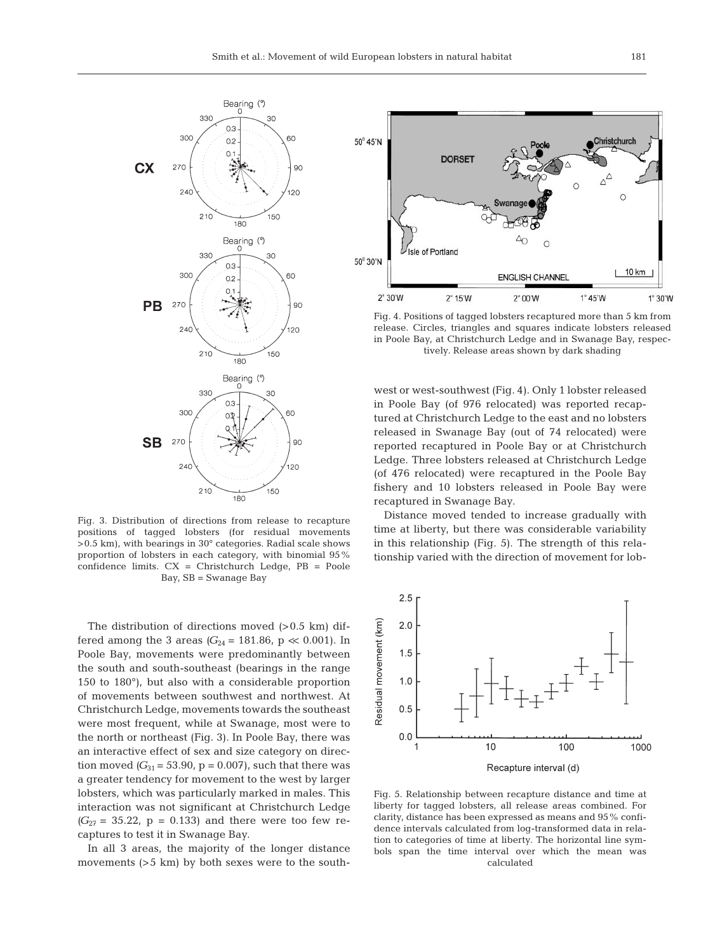

Fig. 3. Distribution of directions from release to recapture positions of tagged lobsters (for residual movements >0.5 km), with bearings in 30° categories. Radial scale shows proportion of lobsters in each category, with binomial 95% confidence limits. CX = Christchurch Ledge, PB = Poole Bay, SB = Swanage Bay

The distribution of directions moved  $(>0.5 \text{ km})$  differed among the 3 areas  $(G_{24} = 181.86, p \ll 0.001)$ . In Poole Bay, movements were predominantly between the south and south-southeast (bearings in the range 150 to 180°), but also with a considerable proportion of movements between southwest and northwest. At Christchurch Ledge, movements towards the southeast were most frequent, while at Swanage, most were to the north or northeast (Fig. 3). In Poole Bay, there was an interactive effect of sex and size category on direction moved  $(G_{31} = 53.90, p = 0.007)$ , such that there was a greater tendency for movement to the west by larger lobsters, which was particularly marked in males. This interaction was not significant at Christchurch Ledge  $(G_{27} = 35.22, p = 0.133)$  and there were too few recaptures to test it in Swanage Bay.

In all 3 areas, the majority of the longer distance movements (>5 km) by both sexes were to the south-



Fig. 4. Positions of tagged lobsters recaptured more than 5 km from release. Circles, triangles and squares indicate lobsters released in Poole Bay, at Christchurch Ledge and in Swanage Bay, respectively. Release areas shown by dark shading

west or west-southwest (Fig. 4). Only 1 lobster released in Poole Bay (of 976 relocated) was reported recaptured at Christchurch Ledge to the east and no lobsters released in Swanage Bay (out of 74 relocated) were reported recaptured in Poole Bay or at Christchurch Ledge. Three lobsters released at Christchurch Ledge (of 476 relocated) were recaptured in the Poole Bay fishery and 10 lobsters released in Poole Bay were recaptured in Swanage Bay.

Distance moved tended to increase gradually with time at liberty, but there was considerable variability in this relationship (Fig. 5). The strength of this relationship varied with the direction of movement for lob-



Fig. 5. Relationship between recapture distance and time at liberty for tagged lobsters, all release areas combined. For clarity, distance has been expressed as means and 95% confidence intervals calculated from log-transformed data in relation to categories of time at liberty. The horizontal line symbols span the time interval over which the mean was calculated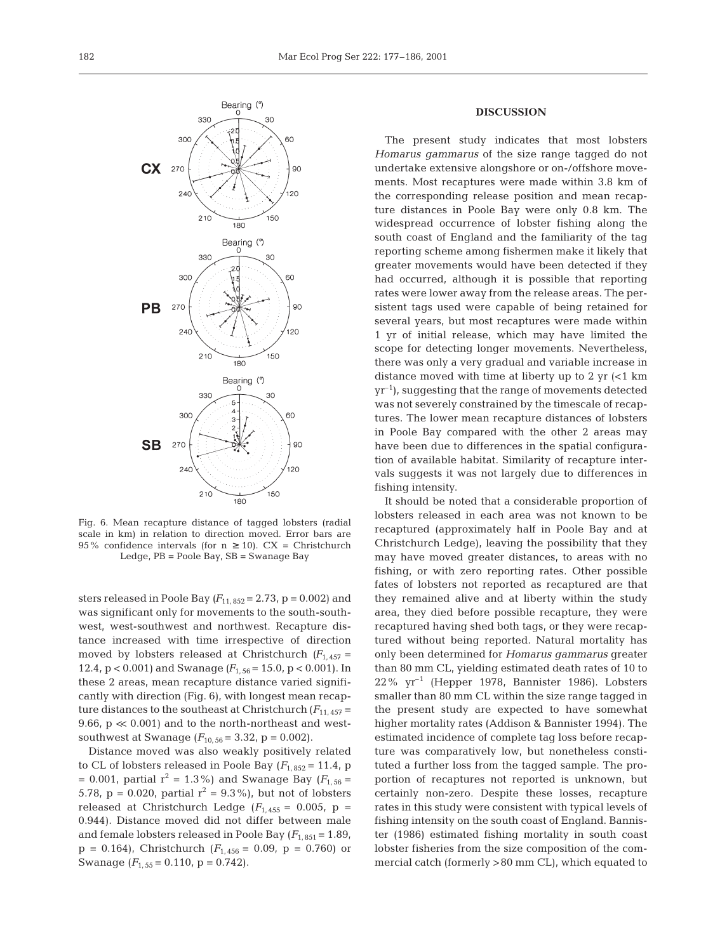

Fig. 6. Mean recapture distance of tagged lobsters (radial scale in km) in relation to direction moved. Error bars are 95% confidence intervals (for  $n \ge 10$ ). CX = Christchurch Ledge, PB = Poole Bay, SB = Swanage Bay

sters released in Poole Bay  $(F_{11, 852} = 2.73, p = 0.002)$  and was significant only for movements to the south-southwest, west-southwest and northwest. Recapture distance increased with time irrespective of direction moved by lobsters released at Christchurch  $(F_{1,457} =$ 12.4,  $p < 0.001$ ) and Swanage  $(F_{1.56} = 15.0, p < 0.001)$ . In these 2 areas, mean recapture distance varied significantly with direction (Fig. 6), with longest mean recapture distances to the southeast at Christchurch  $(F_{11, 457} =$ 9.66,  $p \ll 0.001$  and to the north-northeast and westsouthwest at Swanage  $(F_{10, 56} = 3.32, p = 0.002)$ .

Distance moved was also weakly positively related to CL of lobsters released in Poole Bay  $(F_{1, 852} = 11.4, p$  $= 0.001$ , partial  $r^2 = 1.3\%$ ) and Swanage Bay ( $F_{1,56} =$ 5.78, p = 0.020, partial  $r^2 = 9.3\%$ ), but not of lobsters released at Christchurch Ledge  $(F_{1,455} = 0.005, p =$ 0.944). Distance moved did not differ between male and female lobsters released in Poole Bay  $(F_{1,851} = 1.89)$ ,  $p = 0.164$ , Christchurch ( $F_{1,456} = 0.09$ ,  $p = 0.760$ ) or Swanage  $(F_{1.55} = 0.110, p = 0.742)$ .

#### **DISCUSSION**

The present study indicates that most lobsters *Homarus gammarus* of the size range tagged do not undertake extensive alongshore or on-/offshore movements. Most recaptures were made within 3.8 km of the corresponding release position and mean recapture distances in Poole Bay were only 0.8 km. The widespread occurrence of lobster fishing along the south coast of England and the familiarity of the tag reporting scheme among fishermen make it likely that greater movements would have been detected if they had occurred, although it is possible that reporting rates were lower away from the release areas. The persistent tags used were capable of being retained for several years, but most recaptures were made within 1 yr of initial release, which may have limited the scope for detecting longer movements. Nevertheless, there was only a very gradual and variable increase in distance moved with time at liberty up to  $2 \text{ yr}$  (<1 km  $yr^{-1}$ ), suggesting that the range of movements detected was not severely constrained by the timescale of recaptures. The lower mean recapture distances of lobsters in Poole Bay compared with the other 2 areas may have been due to differences in the spatial configuration of available habitat. Similarity of recapture intervals suggests it was not largely due to differences in fishing intensity.

It should be noted that a considerable proportion of lobsters released in each area was not known to be recaptured (approximately half in Poole Bay and at Christchurch Ledge), leaving the possibility that they may have moved greater distances, to areas with no fishing, or with zero reporting rates. Other possible fates of lobsters not reported as recaptured are that they remained alive and at liberty within the study area, they died before possible recapture, they were recaptured having shed both tags, or they were recaptured without being reported. Natural mortality has only been determined for *Homarus gammarus* greater than 80 mm CL, yielding estimated death rates of 10 to 22% yr–1 (Hepper 1978, Bannister 1986). Lobsters smaller than 80 mm CL within the size range tagged in the present study are expected to have somewhat higher mortality rates (Addison & Bannister 1994). The estimated incidence of complete tag loss before recapture was comparatively low, but nonetheless constituted a further loss from the tagged sample. The proportion of recaptures not reported is unknown, but certainly non-zero. Despite these losses, recapture rates in this study were consistent with typical levels of fishing intensity on the south coast of England. Bannister (1986) estimated fishing mortality in south coast lobster fisheries from the size composition of the commercial catch (formerly >80 mm CL), which equated to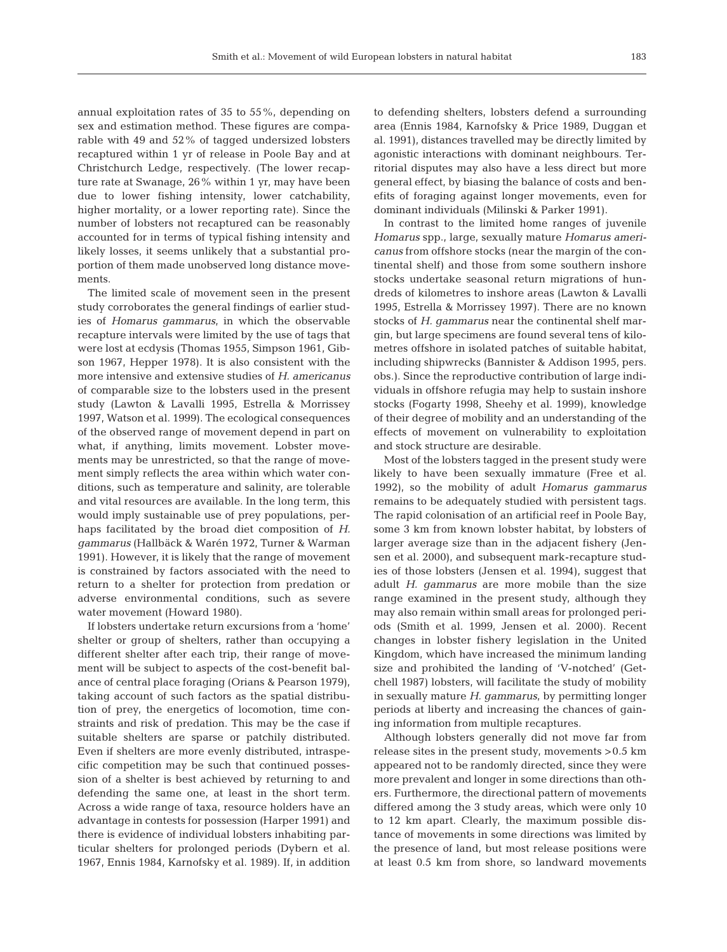annual exploitation rates of 35 to 55%, depending on sex and estimation method. These figures are comparable with 49 and 52% of tagged undersized lobsters recaptured within 1 yr of release in Poole Bay and at Christchurch Ledge, respectively. (The lower recapture rate at Swanage, 26% within 1 yr, may have been due to lower fishing intensity, lower catchability, higher mortality, or a lower reporting rate). Since the number of lobsters not recaptured can be reasonably accounted for in terms of typical fishing intensity and likely losses, it seems unlikely that a substantial proportion of them made unobserved long distance movements.

The limited scale of movement seen in the present study corroborates the general findings of earlier studies of *Homarus gammarus*, in which the observable recapture intervals were limited by the use of tags that were lost at ecdysis (Thomas 1955, Simpson 1961, Gibson 1967, Hepper 1978). It is also consistent with the more intensive and extensive studies of *H. americanus* of comparable size to the lobsters used in the present study (Lawton & Lavalli 1995, Estrella & Morrissey 1997, Watson et al. 1999). The ecological consequences of the observed range of movement depend in part on what, if anything, limits movement. Lobster movements may be unrestricted, so that the range of movement simply reflects the area within which water conditions, such as temperature and salinity, are tolerable and vital resources are available. In the long term, this would imply sustainable use of prey populations, perhaps facilitated by the broad diet composition of *H. gammarus* (Hallbäck & Warén 1972, Turner & Warman 1991). However, it is likely that the range of movement is constrained by factors associated with the need to return to a shelter for protection from predation or adverse environmental conditions, such as severe water movement (Howard 1980).

If lobsters undertake return excursions from a 'home' shelter or group of shelters, rather than occupying a different shelter after each trip, their range of movement will be subject to aspects of the cost-benefit balance of central place foraging (Orians & Pearson 1979), taking account of such factors as the spatial distribution of prey, the energetics of locomotion, time constraints and risk of predation. This may be the case if suitable shelters are sparse or patchily distributed. Even if shelters are more evenly distributed, intraspecific competition may be such that continued possession of a shelter is best achieved by returning to and defending the same one, at least in the short term. Across a wide range of taxa, resource holders have an advantage in contests for possession (Harper 1991) and there is evidence of individual lobsters inhabiting particular shelters for prolonged periods (Dybern et al. 1967, Ennis 1984, Karnofsky et al. 1989). If, in addition to defending shelters, lobsters defend a surrounding area (Ennis 1984, Karnofsky & Price 1989, Duggan et al. 1991), distances travelled may be directly limited by agonistic interactions with dominant neighbours. Territorial disputes may also have a less direct but more general effect, by biasing the balance of costs and benefits of foraging against longer movements, even for dominant individuals (Milinski & Parker 1991).

In contrast to the limited home ranges of juvenile *Homarus* spp., large, sexually mature *Homarus americanus* from offshore stocks (near the margin of the continental shelf) and those from some southern inshore stocks undertake seasonal return migrations of hundreds of kilometres to inshore areas (Lawton & Lavalli 1995, Estrella & Morrissey 1997). There are no known stocks of *H. gammarus* near the continental shelf margin, but large specimens are found several tens of kilometres offshore in isolated patches of suitable habitat, including shipwrecks (Bannister & Addison 1995, pers. obs.). Since the reproductive contribution of large individuals in offshore refugia may help to sustain inshore stocks (Fogarty 1998, Sheehy et al. 1999), knowledge of their degree of mobility and an understanding of the effects of movement on vulnerability to exploitation and stock structure are desirable.

Most of the lobsters tagged in the present study were likely to have been sexually immature (Free et al. 1992), so the mobility of adult *Homarus gammarus* remains to be adequately studied with persistent tags. The rapid colonisation of an artificial reef in Poole Bay, some 3 km from known lobster habitat, by lobsters of larger average size than in the adjacent fishery (Jensen et al. 2000), and subsequent mark-recapture studies of those lobsters (Jensen et al. 1994), suggest that adult *H. gammarus* are more mobile than the size range examined in the present study, although they may also remain within small areas for prolonged periods (Smith et al. 1999, Jensen et al. 2000). Recent changes in lobster fishery legislation in the United Kingdom, which have increased the minimum landing size and prohibited the landing of 'V-notched' (Getchell 1987) lobsters, will facilitate the study of mobility in sexually mature *H. gammarus*, by permitting longer periods at liberty and increasing the chances of gaining information from multiple recaptures.

Although lobsters generally did not move far from release sites in the present study, movements >0.5 km appeared not to be randomly directed, since they were more prevalent and longer in some directions than others. Furthermore, the directional pattern of movements differed among the 3 study areas, which were only 10 to 12 km apart. Clearly, the maximum possible distance of movements in some directions was limited by the presence of land, but most release positions were at least 0.5 km from shore, so landward movements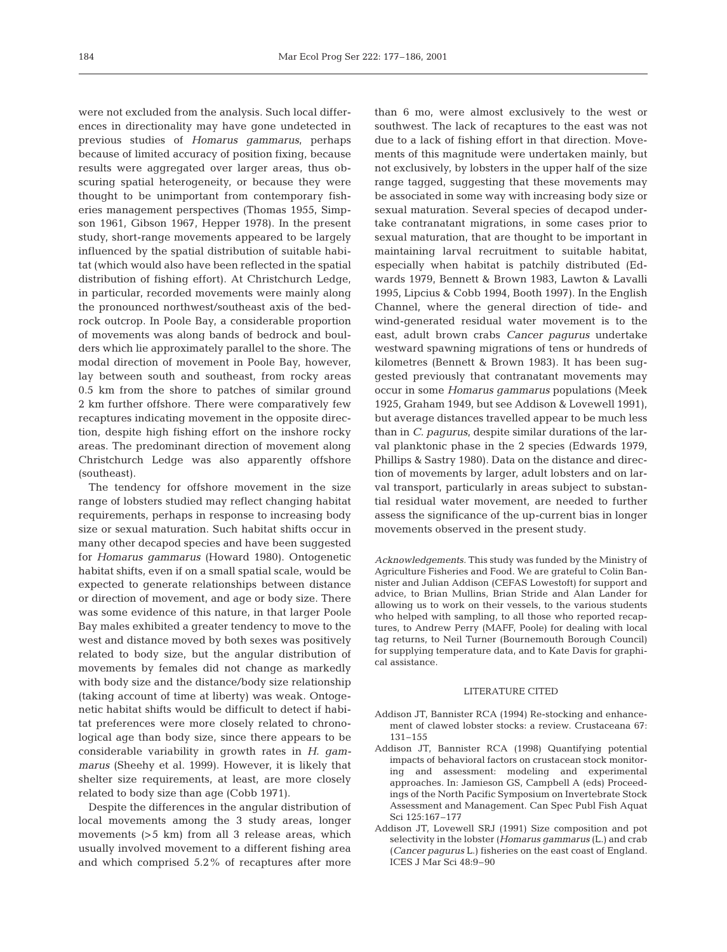were not excluded from the analysis. Such local differences in directionality may have gone undetected in previous studies of *Homarus gammarus*, perhaps because of limited accuracy of position fixing, because results were aggregated over larger areas, thus obscuring spatial heterogeneity, or because they were thought to be unimportant from contemporary fisheries management perspectives (Thomas 1955, Simpson 1961, Gibson 1967, Hepper 1978). In the present study, short-range movements appeared to be largely influenced by the spatial distribution of suitable habitat (which would also have been reflected in the spatial distribution of fishing effort). At Christchurch Ledge, in particular, recorded movements were mainly along the pronounced northwest/southeast axis of the bedrock outcrop. In Poole Bay, a considerable proportion of movements was along bands of bedrock and boulders which lie approximately parallel to the shore. The modal direction of movement in Poole Bay, however, lay between south and southeast, from rocky areas 0.5 km from the shore to patches of similar ground 2 km further offshore. There were comparatively few recaptures indicating movement in the opposite direction, despite high fishing effort on the inshore rocky areas. The predominant direction of movement along Christchurch Ledge was also apparently offshore (southeast).

The tendency for offshore movement in the size range of lobsters studied may reflect changing habitat requirements, perhaps in response to increasing body size or sexual maturation. Such habitat shifts occur in many other decapod species and have been suggested for *Homarus gammarus* (Howard 1980). Ontogenetic habitat shifts, even if on a small spatial scale, would be expected to generate relationships between distance or direction of movement, and age or body size. There was some evidence of this nature, in that larger Poole Bay males exhibited a greater tendency to move to the west and distance moved by both sexes was positively related to body size, but the angular distribution of movements by females did not change as markedly with body size and the distance/body size relationship (taking account of time at liberty) was weak. Ontogenetic habitat shifts would be difficult to detect if habitat preferences were more closely related to chronological age than body size, since there appears to be considerable variability in growth rates in *H. gammarus* (Sheehy et al. 1999). However, it is likely that shelter size requirements, at least, are more closely related to body size than age (Cobb 1971).

Despite the differences in the angular distribution of local movements among the 3 study areas, longer movements (>5 km) from all 3 release areas, which usually involved movement to a different fishing area and which comprised 5.2% of recaptures after more

than 6 mo, were almost exclusively to the west or southwest. The lack of recaptures to the east was not due to a lack of fishing effort in that direction. Movements of this magnitude were undertaken mainly, but not exclusively, by lobsters in the upper half of the size range tagged, suggesting that these movements may be associated in some way with increasing body size or sexual maturation. Several species of decapod undertake contranatant migrations, in some cases prior to sexual maturation, that are thought to be important in maintaining larval recruitment to suitable habitat, especially when habitat is patchily distributed (Edwards 1979, Bennett & Brown 1983, Lawton & Lavalli 1995, Lipcius & Cobb 1994, Booth 1997). In the English Channel, where the general direction of tide- and wind-generated residual water movement is to the east, adult brown crabs *Cancer pagurus* undertake westward spawning migrations of tens or hundreds of kilometres (Bennett & Brown 1983). It has been suggested previously that contranatant movements may occur in some *Homarus gammarus* populations (Meek 1925, Graham 1949, but see Addison & Lovewell 1991), but average distances travelled appear to be much less than in *C. pagurus*, despite similar durations of the larval planktonic phase in the 2 species (Edwards 1979, Phillips & Sastry 1980). Data on the distance and direction of movements by larger, adult lobsters and on larval transport, particularly in areas subject to substantial residual water movement, are needed to further assess the significance of the up-current bias in longer movements observed in the present study.

*Acknowledgements.* This study was funded by the Ministry of Agriculture Fisheries and Food. We are grateful to Colin Bannister and Julian Addison (CEFAS Lowestoft) for support and advice, to Brian Mullins, Brian Stride and Alan Lander for allowing us to work on their vessels, to the various students who helped with sampling, to all those who reported recaptures, to Andrew Perry (MAFF, Poole) for dealing with local tag returns, to Neil Turner (Bournemouth Borough Council) for supplying temperature data, and to Kate Davis for graphical assistance.

## LITERATURE CITED

- Addison JT, Bannister RCA (1994) Re-stocking and enhancement of clawed lobster stocks: a review. Crustaceana 67: 131–155
- Addison JT, Bannister RCA (1998) Quantifying potential impacts of behavioral factors on crustacean stock monitoring and assessment: modeling and experimental approaches. In: Jamieson GS, Campbell A (eds) Proceedings of the North Pacific Symposium on Invertebrate Stock Assessment and Management. Can Spec Publ Fish Aquat Sci 125:167–177
- Addison JT, Lovewell SRJ (1991) Size composition and pot selectivity in the lobster (*Homarus gammarus* (L.) and crab (*Cancer pagurus* L.) fisheries on the east coast of England. ICES J Mar Sci 48:9–90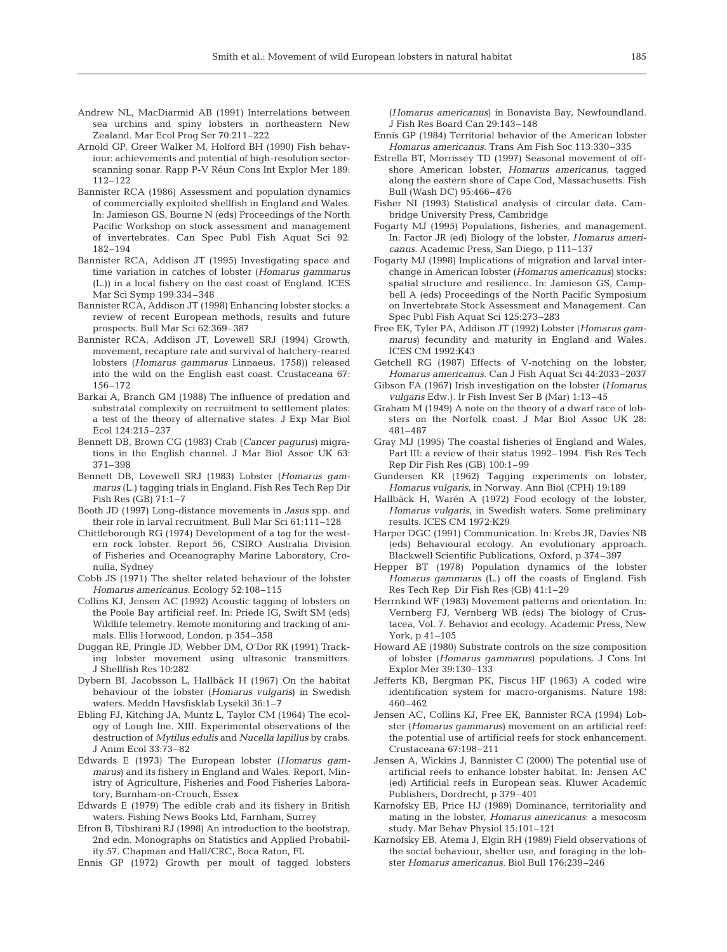- Andrew NL, MacDiarmid AB (1991) Interrelations between sea urchins and spiny lobsters in northeastern New Zealand. Mar Ecol Prog Ser 70:211–222
- Arnold GP, Greer Walker M, Holford BH (1990) Fish behaviour: achievements and potential of high-resolution sectorscanning sonar. Rapp P-V Réun Cons Int Explor Mer 189: 112–122
- Bannister RCA (1986) Assessment and population dynamics of commercially exploited shellfish in England and Wales. In: Jamieson GS, Bourne N (eds) Proceedings of the North Pacific Workshop on stock assessment and management of invertebrates. Can Spec Publ Fish Aquat Sci 92: 182–194
- Bannister RCA, Addison JT (1995) Investigating space and time variation in catches of lobster (*Homarus gammarus* (L.)) in a local fishery on the east coast of England. ICES Mar Sci Symp 199:334–348
- Bannister RCA, Addison JT (1998) Enhancing lobster stocks: a review of recent European methods, results and future prospects. Bull Mar Sci 62:369–387
- Bannister RCA, Addison JT, Lovewell SRJ (1994) Growth, movement, recapture rate and survival of hatchery-reared lobsters (*Homarus gammarus* Linnaeus, 1758)) released into the wild on the English east coast. Crustaceana 67: 156–172
- Barkai A, Branch GM (1988) The influence of predation and substratal complexity on recruitment to settlement plates: a test of the theory of alternative states. J Exp Mar Biol Ecol 124:215–237
- Bennett DB, Brown CG (1983) Crab (*Cancer pagurus*) migrations in the English channel. J Mar Biol Assoc UK 63: 371–398
- Bennett DB, Lovewell SRJ (1983) Lobster (*Homarus gammarus* (L.) tagging trials in England. Fish Res Tech Rep Dir Fish Res (GB) 71:1–7
- Booth JD (1997) Long-distance movements in *Jasus* spp. and their role in larval recruitment. Bull Mar Sci 61:111–128
- Chittleborough RG (1974) Development of a tag for the western rock lobster. Report 56, CSIRO Australia Division of Fisheries and Oceanography Marine Laboratory, Cronulla, Sydney
- Cobb JS (1971) The shelter related behaviour of the lobster *Homarus americanus*. Ecology 52:108–115
- Collins KJ, Jensen AC (1992) Acoustic tagging of lobsters on the Poole Bay artificial reef. In: Priede IG, Swift SM (eds) Wildlife telemetry. Remote monitoring and tracking of animals. Ellis Horwood, London, p 354–358
- Duggan RE, Pringle JD, Webber DM, O'Dor RK (1991) Tracking lobster movement using ultrasonic transmitters. J Shellfish Res 10:282
- Dybern BI, Jacobsson L, Hallbäck H (1967) On the habitat behaviour of the lobster (*Homarus vulgaris*) in Swedish waters. Meddn Havsfisklab Lysekil 36:1–7
- Ebling FJ, Kitching JA, Muntz L, Taylor CM (1964) The ecology of Lough Ine. XIII. Experimental observations of the destruction of *Mytilus edulis* and *Nucella lapillus* by crabs. J Anim Ecol 33:73–82
- Edwards E (1973) The European lobster (*Homarus gammarus*) and its fishery in England and Wales. Report, Ministry of Agriculture, Fisheries and Food Fisheries Laboratory, Burnham-on-Crouch, Essex
- Edwards E (1979) The edible crab and its fishery in British waters. Fishing News Books Ltd, Farnham, Surrey
- Efron B, Tibshirani RJ (1998) An introduction to the bootstrap, 2nd edn. Monographs on Statistics and Applied Probability 57. Chapman and Hall/CRC, Boca Raton, FL
- Ennis GP (1972) Growth per moult of tagged lobsters

(*Homarus americanus*) in Bonavista Bay, Newfoundland. J Fish Res Board Can 29:143–148

- Ennis GP (1984) Territorial behavior of the American lobster *Homarus americanus*. Trans Am Fish Soc 113:330–335
- Estrella BT, Morrissey TD (1997) Seasonal movement of offshore American lobster, *Homarus americanus*, tagged along the eastern shore of Cape Cod, Massachusetts. Fish Bull (Wash DC) 95:466–476
- Fisher NI (1993) Statistical analysis of circular data. Cambridge University Press, Cambridge
- Fogarty MJ (1995) Populations, fisheries, and management. In: Factor JR (ed) Biology of the lobster, *Homarus americanus*. Academic Press, San Diego, p 111–137
- Fogarty MJ (1998) Implications of migration and larval interchange in American lobster (*Homarus americanus*) stocks: spatial structure and resilience. In: Jamieson GS, Campbell A (eds) Proceedings of the North Pacific Symposium on Invertebrate Stock Assessment and Management. Can Spec Publ Fish Aquat Sci 125:273–283
- Free EK, Tyler PA, Addison JT (1992) Lobster (*Homarus gammarus*) fecundity and maturity in England and Wales. ICES CM 1992:K43
- Getchell RG (1987) Effects of V-notching on the lobster, *Homarus americanus*. Can J Fish Aquat Sci 44:2033–2037
- Gibson FA (1967) Irish investigation on the lobster (*Homarus vulgaris* Edw.). Ir Fish Invest Ser B (Mar) 1:13–45
- Graham M (1949) A note on the theory of a dwarf race of lobsters on the Norfolk coast. J Mar Biol Assoc UK 28: 481–487
- Gray MJ (1995) The coastal fisheries of England and Wales, Part III: a review of their status 1992–1994. Fish Res Tech Rep Dir Fish Res (GB) 100:1–99
- Gundersen KR (1962) Tagging experiments on lobster, *Homarus vulgaris*, in Norway. Ann Biol (CPH) 19:189
- Hallbäck H, Warén A (1972) Food ecology of the lobster, *Homarus vulgaris*, in Swedish waters. Some preliminary results. ICES CM 1972:K29
- Harper DGC (1991) Communication. In: Krebs JR, Davies NB (eds) Behavioural ecology. An evolutionary approach. Blackwell Scientific Publications, Oxford, p 374–397
- Hepper BT (1978) Population dynamics of the lobster *Homarus gammarus* (L.) off the coasts of England. Fish Res Tech Rep Dir Fish Res (GB) 41:1–29
- Herrnkind WF (1983) Movement patterns and orientation. In: Vernberg FJ, Vernberg WB (eds) The biology of Crustacea, Vol. 7. Behavior and ecology. Academic Press, New York, p 41–105
- Howard AE (1980) Substrate controls on the size composition of lobster (*Homarus gammarus*) populations. J Cons Int Explor Mer 39:130–133
- Jefferts KB, Bergman PK, Fiscus HF (1963) A coded wire identification system for macro-organisms. Nature 198: 460–462
- Jensen AC, Collins KJ, Free EK, Bannister RCA (1994) Lobster (*Homarus gammarus*) movement on an artificial reef: the potential use of artificial reefs for stock enhancement. Crustaceana 67:198–211
- Jensen A, Wickins J, Bannister C (2000) The potential use of artificial reefs to enhance lobster habitat. In: Jensen AC (ed) Artificial reefs in European seas. Kluwer Academic Publishers, Dordrecht, p 379–401
- Karnofsky EB, Price HJ (1989) Dominance, territoriality and mating in the lobster, *Homarus americanus*: a mesocosm study. Mar Behav Physiol 15:101–121
- Karnofsky EB, Atema J, Elgin RH (1989) Field observations of the social behaviour, shelter use, and foraging in the lobster *Homarus americanus*. Biol Bull 176:239–246